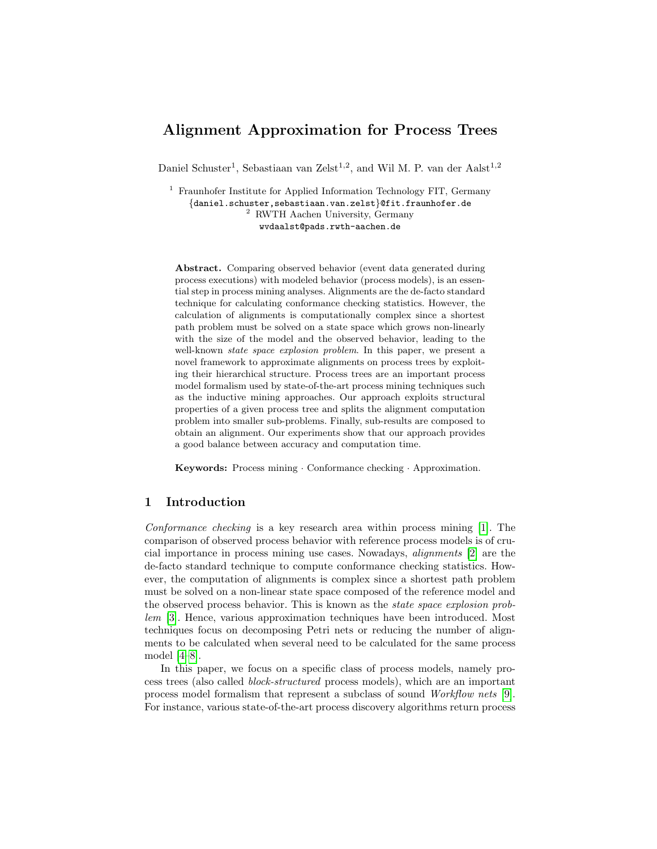# Alignment Approximation for Process Trees

Daniel Schuster<sup>1</sup>, Sebastiaan van Zelst<sup>1,2</sup>, and Wil M. P. van der Aalst<sup>1,2</sup>

<sup>1</sup> Fraunhofer Institute for Applied Information Technology FIT, Germany {daniel.schuster,sebastiaan.van.zelst}@fit.fraunhofer.de <sup>2</sup> RWTH Aachen University, Germany wvdaalst@pads.rwth-aachen.de

Abstract. Comparing observed behavior (event data generated during process executions) with modeled behavior (process models), is an essential step in process mining analyses. Alignments are the de-facto standard technique for calculating conformance checking statistics. However, the calculation of alignments is computationally complex since a shortest path problem must be solved on a state space which grows non-linearly with the size of the model and the observed behavior, leading to the well-known *state space explosion problem*. In this paper, we present a novel framework to approximate alignments on process trees by exploiting their hierarchical structure. Process trees are an important process model formalism used by state-of-the-art process mining techniques such as the inductive mining approaches. Our approach exploits structural properties of a given process tree and splits the alignment computation problem into smaller sub-problems. Finally, sub-results are composed to obtain an alignment. Our experiments show that our approach provides a good balance between accuracy and computation time.

Keywords: Process mining · Conformance checking · Approximation.

# 1 Introduction

Conformance checking is a key research area within process mining [\[1\]](#page-11-0). The comparison of observed process behavior with reference process models is of crucial importance in process mining use cases. Nowadays, alignments [\[2\]](#page-11-1) are the de-facto standard technique to compute conformance checking statistics. However, the computation of alignments is complex since a shortest path problem must be solved on a non-linear state space composed of the reference model and the observed process behavior. This is known as the state space explosion problem [\[3\]](#page-11-2). Hence, various approximation techniques have been introduced. Most techniques focus on decomposing Petri nets or reducing the number of alignments to be calculated when several need to be calculated for the same process model [\[4](#page-11-3)[–8\]](#page-11-4).

In this paper, we focus on a specific class of process models, namely process trees (also called block-structured process models), which are an important process model formalism that represent a subclass of sound Workflow nets [\[9\]](#page-11-5). For instance, various state-of-the-art process discovery algorithms return process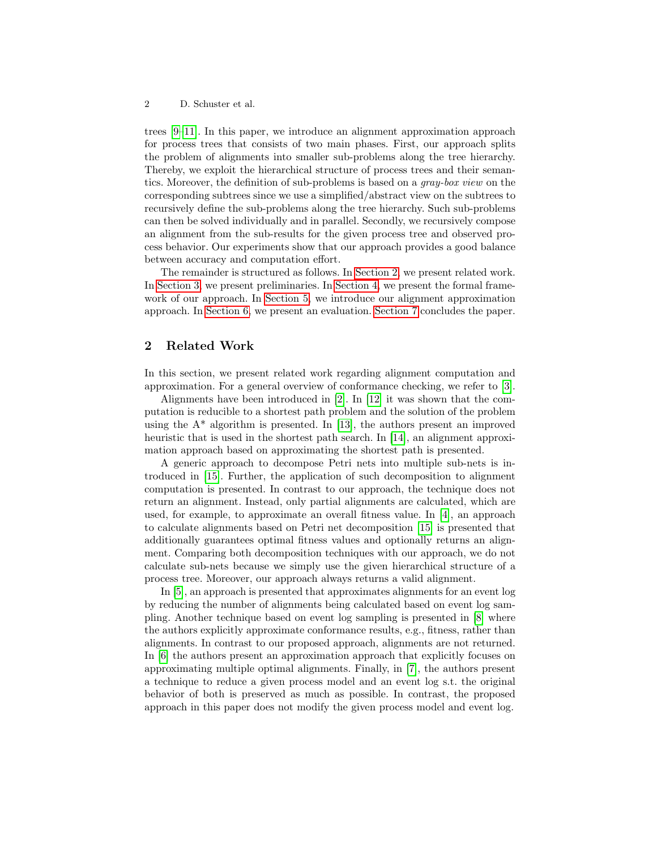trees [\[9–](#page-11-5)[11\]](#page-11-6). In this paper, we introduce an alignment approximation approach for process trees that consists of two main phases. First, our approach splits the problem of alignments into smaller sub-problems along the tree hierarchy. Thereby, we exploit the hierarchical structure of process trees and their semantics. Moreover, the definition of sub-problems is based on a gray-box view on the corresponding subtrees since we use a simplified/abstract view on the subtrees to recursively define the sub-problems along the tree hierarchy. Such sub-problems can then be solved individually and in parallel. Secondly, we recursively compose an alignment from the sub-results for the given process tree and observed process behavior. Our experiments show that our approach provides a good balance between accuracy and computation effort.

The remainder is structured as follows. In [Section 2,](#page-1-0) we present related work. In [Section 3,](#page-2-0) we present preliminaries. In [Section 4,](#page-5-0) we present the formal framework of our approach. In [Section 5,](#page-6-0) we introduce our alignment approximation approach. In [Section 6,](#page-9-0) we present an evaluation. [Section 7](#page-10-0) concludes the paper.

# <span id="page-1-0"></span>2 Related Work

In this section, we present related work regarding alignment computation and approximation. For a general overview of conformance checking, we refer to [\[3\]](#page-11-2).

Alignments have been introduced in [\[2\]](#page-11-1). In [\[12\]](#page-11-7) it was shown that the computation is reducible to a shortest path problem and the solution of the problem using the  $A^*$  algorithm is presented. In [\[13\]](#page-11-8), the authors present an improved heuristic that is used in the shortest path search. In [\[14\]](#page-11-9), an alignment approximation approach based on approximating the shortest path is presented.

A generic approach to decompose Petri nets into multiple sub-nets is introduced in [\[15\]](#page-11-10). Further, the application of such decomposition to alignment computation is presented. In contrast to our approach, the technique does not return an alignment. Instead, only partial alignments are calculated, which are used, for example, to approximate an overall fitness value. In [\[4\]](#page-11-3), an approach to calculate alignments based on Petri net decomposition [\[15\]](#page-11-10) is presented that additionally guarantees optimal fitness values and optionally returns an alignment. Comparing both decomposition techniques with our approach, we do not calculate sub-nets because we simply use the given hierarchical structure of a process tree. Moreover, our approach always returns a valid alignment.

In [\[5\]](#page-11-11), an approach is presented that approximates alignments for an event log by reducing the number of alignments being calculated based on event log sampling. Another technique based on event log sampling is presented in [\[8\]](#page-11-4) where the authors explicitly approximate conformance results, e.g., fitness, rather than alignments. In contrast to our proposed approach, alignments are not returned. In [\[6\]](#page-11-12) the authors present an approximation approach that explicitly focuses on approximating multiple optimal alignments. Finally, in [\[7\]](#page-11-13), the authors present a technique to reduce a given process model and an event log s.t. the original behavior of both is preserved as much as possible. In contrast, the proposed approach in this paper does not modify the given process model and event log.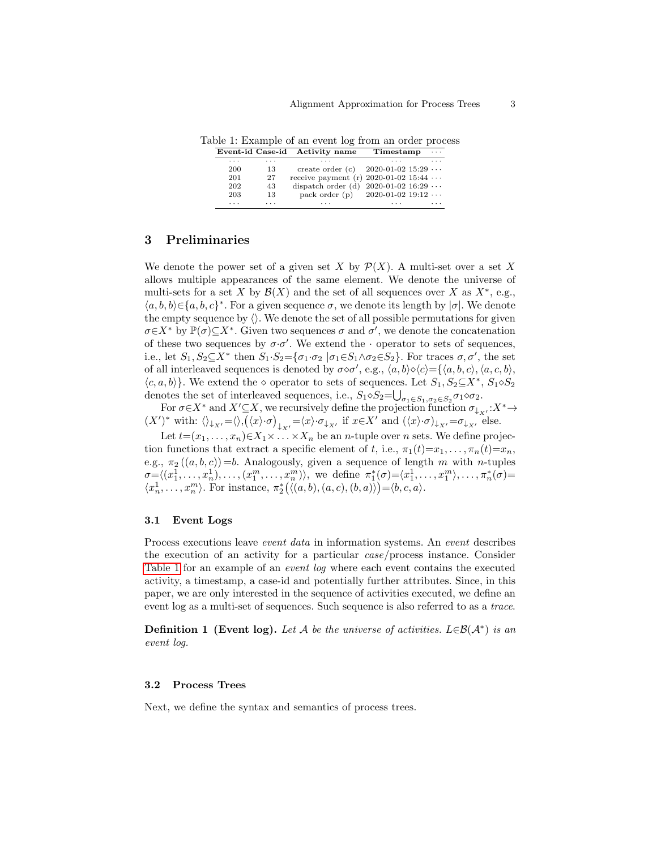<span id="page-2-1"></span>Table 1: Example of an event log from an order process

|     |    | Event-id Case-id Activity name                | Timestamp                       | .        |
|-----|----|-----------------------------------------------|---------------------------------|----------|
| .   | .  | $\cdots$                                      | .                               | $\cdots$ |
| 200 | 13 | create order $(c)$                            | $2020 - 01 - 02$ 15:29 $\cdots$ |          |
| 201 | 27 | receive payment (r) 2020-01-02 15:44 $\cdots$ |                                 |          |
| 202 | 43 | dispatch order (d) 2020-01-02 $16:29 \cdots$  |                                 |          |
| 203 | 13 | $pack\ order(p)$                              | $2020 - 01 - 02$ 19:12 $\cdots$ |          |
|     |    |                                               |                                 |          |

### <span id="page-2-0"></span>3 Preliminaries

We denote the power set of a given set X by  $\mathcal{P}(X)$ . A multi-set over a set X allows multiple appearances of the same element. We denote the universe of multi-sets for a set X by  $\mathcal{B}(X)$  and the set of all sequences over X as  $X^*$ , e.g.,  $\langle a, b, b \rangle \in \{a, b, c\}^*$ . For a given sequence  $\sigma$ , we denote its length by  $|\sigma|$ . We denote the empty sequence by  $\langle \rangle$ . We denote the set of all possible permutations for given  $\sigma \in X^*$  by  $\mathbb{P}(\sigma) \subseteq X^*$ . Given two sequences  $\sigma$  and  $\sigma'$ , we denote the concatenation of these two sequences by  $\sigma \cdot \sigma'$ . We extend the  $\cdot$  operator to sets of sequences, i.e., let  $S_1, S_2 \subseteq X^*$  then  $S_1 \cdot S_2 = \{\sigma_1 \cdot \sigma_2 \mid \sigma_1 \in S_1 \land \sigma_2 \in S_2\}$ . For traces  $\sigma, \sigma'$ , the set of all interleaved sequences is denoted by  $\sigma \circ \sigma'$ , e.g.,  $\langle a, b \rangle \circ \langle c \rangle = \{ \langle a, b, c \rangle, \langle a, c, b \rangle, \}$  $\langle c, a, b \rangle$ . We extend the  $\diamond$  operator to sets of sequences. Let  $S_1, S_2 \subseteq X^*, S_1 \diamond S_2$ denotes the set of interleaved sequences, i.e.,  $S_1 \otimes S_2 = \bigcup_{\sigma_1 \in S_1, \sigma_2 \in S_2} \sigma_1 \otimes \sigma_2$ .

For  $\sigma \in X^*$  and  $X' \subseteq X$ , we recursively define the projection function  $\sigma \downarrow_{X'} : X^* \to Y$  $(X')^*$  with:  $\langle\rangle_{\downarrow_{X'}} = \langle\rangle, (\langle x\rangle \cdot \sigma)_{\downarrow_{X'}} = \langle x\rangle \cdot \sigma_{\downarrow_{X'}}$  if  $x \in X'$  and  $(\langle x\rangle \cdot \sigma)_{\downarrow_{X'}} = \sigma_{\downarrow_{X'}}$  else.

Let  $t=(x_1,\ldots,x_n)\in X_1\times\ldots\times X_n$  be an *n*-tuple over *n* sets. We define projection functions that extract a specific element of t, i.e.,  $\pi_1(t)=x_1,\ldots,\pi_n(t)=x_n$ , e.g.,  $\pi_2((a, b, c)) = b$ . Analogously, given a sequence of length m with n-tuples  $\sigma = \langle (x_1^1, \ldots, x_n^1), \ldots, (x_1^m, \ldots, x_n^m) \rangle$ , we define  $\pi_1^*(\sigma) = \langle x_1^1, \ldots, x_1^m \rangle, \ldots, \pi_n^*(\sigma) =$  $\langle x_n^1, \ldots, x_n^m \rangle$ . For instance,  $\pi_2^* \big( \langle (a, b), (a, c), (b, a) \rangle \big) = \langle b, c, a \rangle$ .

#### 3.1 Event Logs

Process executions leave event data in information systems. An event describes the execution of an activity for a particular case/process instance. Consider [Table 1](#page-2-1) for an example of an *event log* where each event contains the executed activity, a timestamp, a case-id and potentially further attributes. Since, in this paper, we are only interested in the sequence of activities executed, we define an event log as a multi-set of sequences. Such sequence is also referred to as a trace.

**Definition 1 (Event log).** Let A be the universe of activities. L∈ $\mathcal{B}(\mathcal{A}^*)$  is an event log.

#### 3.2 Process Trees

Next, we define the syntax and semantics of process trees.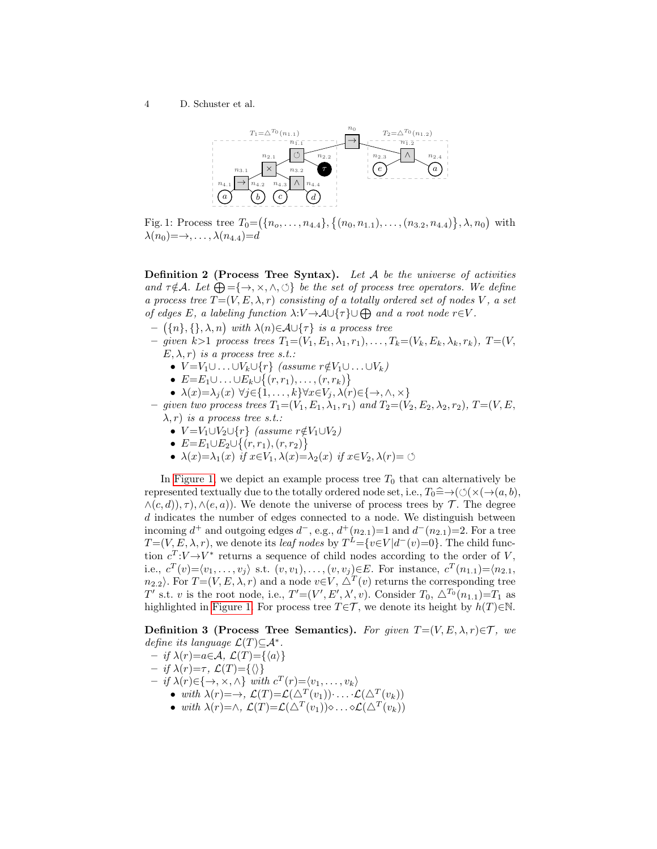<span id="page-3-0"></span>

Fig. 1: Process tree  $T_0 = (\{n_o, \ldots, n_{4.4}\}, \{(n_0, n_{1.1}), \ldots, (n_{3.2}, n_{4.4})\}, \lambda, n_0)$  with  $\lambda(n_0) = \rightarrow, \ldots, \lambda(n_{4.4}) = d$ 

**Definition 2 (Process Tree Syntax).** Let  $A$  be the universe of activities and  $\tau \notin \mathcal{A}$ . Let  $\bigoplus = \{\rightarrow, \times, \land, \circ\}$  be the set of process tree operators. We define a process tree  $T=(V, E, \lambda, r)$  consisting of a totally ordered set of nodes V, a set of edges E, a labeling function  $\lambda:V\to\mathcal{A}\cup\{\tau\}\cup\bigoplus$  and a root node r∈V.

- $({n}, {}, {\})$ ,  $\lambda$ , n) with  $\lambda$ (n) $\in$ A $\cup$ { $\tau$ } is a process tree
- given k>1 process trees  $T_1=(V_1, E_1, \lambda_1, r_1), \ldots, T_k=(V_k, E_k, \lambda_k, r_k), T=(V,$  $E, \lambda, r$ ) is a process tree s.t.:
	- $V = V_1 \cup \ldots \cup V_k \cup \{r\}$  (assume  $r \notin V_1 \cup \ldots \cup V_k$ )
	- $E = E_1 \cup \ldots \cup E_k \cup \{(r, r_1), \ldots, (r, r_k)\}\$
	- $\lambda(x)=\lambda_j(x)$   $\forall j\in\{1,\ldots,k\}$  $\forall x\in V_j, \lambda(r)\in\{\rightarrow,\wedge,\times\}$
- given two process trees  $T_1 = (V_1, E_1, \lambda_1, r_1)$  and  $T_2 = (V_2, E_2, \lambda_2, r_2)$ ,  $T = (V, E, r_1, r_2)$  $(\lambda, r)$  is a process tree s.t.:
	- $V = V_1 \cup V_2 \cup \{r\}$  (assume  $r \notin V_1 \cup V_2$ )
	- $E=E_1\cup E_2\cup\{(r,r_1),(r,r_2)\}\$
	- $\lambda(x)=\lambda_1(x)$  if  $x\in V_1, \lambda(x)=\lambda_2(x)$  if  $x\in V_2, \lambda(r)=\emptyset$

In [Figure 1,](#page-3-0) we depict an example process tree  $T_0$  that can alternatively be represented textually due to the totally ordered node set, i.e.,  $T_0 \hat{=} \rightarrow (\circlearrowleft(\times(\rightarrow(a, b)),$  $\wedge$ (c, d)),  $\tau$ ),  $\wedge$ (e, a)). We denote the universe of process trees by T. The degree d indicates the number of edges connected to a node. We distinguish between incoming  $d^+$  and outgoing edges  $d^-$ , e.g.,  $d^+(n_{2.1})=1$  and  $d^-(n_{2.1})=2$ . For a tree  $T=(V, E, \lambda, r)$ , we denote its leaf nodes by  $T^{L} = \{v \in V | d^-(v)=0\}$ . The child function  $c^T: V \to V^*$  returns a sequence of child nodes according to the order of V, i.e.,  $c^T(v) = \langle v_1, \ldots, v_j \rangle$  s.t.  $(v, v_1), \ldots, (v, v_j) \in E$ . For instance,  $c^T(n_{1,1}) = \langle n_{2,1}, \ldots, n_{N} \rangle$  $n_{2.2}$ ). For  $T=(V, E, \lambda, r)$  and a node  $v \in V$ ,  $\Delta^T(v)$  returns the corresponding tree T' s.t. v is the root node, i.e.,  $T'=(V', E', \lambda', v)$ . Consider  $T_0$ ,  $\Delta^{T_0}(n_{1,1})=T_1$  as highlighted in [Figure 1.](#page-3-0) For process tree  $T \in \mathcal{T}$ , we denote its height by  $h(T) \in \mathbb{N}$ .

Definition 3 (Process Tree Semantics). For given  $T=(V, E, \lambda, r) \in \mathcal{T}$ , we define its language  $\mathcal{L}(T) \subseteq A^*$ .

 $-$  if  $\lambda(r)=a\in\mathcal{A}$ ,  $\mathcal{L}(T)=\{\langle a\rangle\}$ 

- if  $\lambda(r)=\tau$ ,  $\mathcal{L}(T)=\{\langle\rangle\}$
- $-$  if  $\lambda(r) \in \{\rightarrow, \times, \land\}$  with  $c^T(r) = \langle v_1, \dots, v_k \rangle$ 
	- with  $\lambda(r) = \rightarrow$ ,  $\mathcal{L}(T) = \mathcal{L}(\Delta^T(v_1)) \cdot \ldots \cdot \mathcal{L}(\Delta^T(v_k))$
	- with  $\lambda(r) = \wedge$ ,  $\mathcal{L}(T) = \mathcal{L}(\Delta^T(v_1)) \diamond \ldots \diamond \mathcal{L}(\Delta^T(v_k))$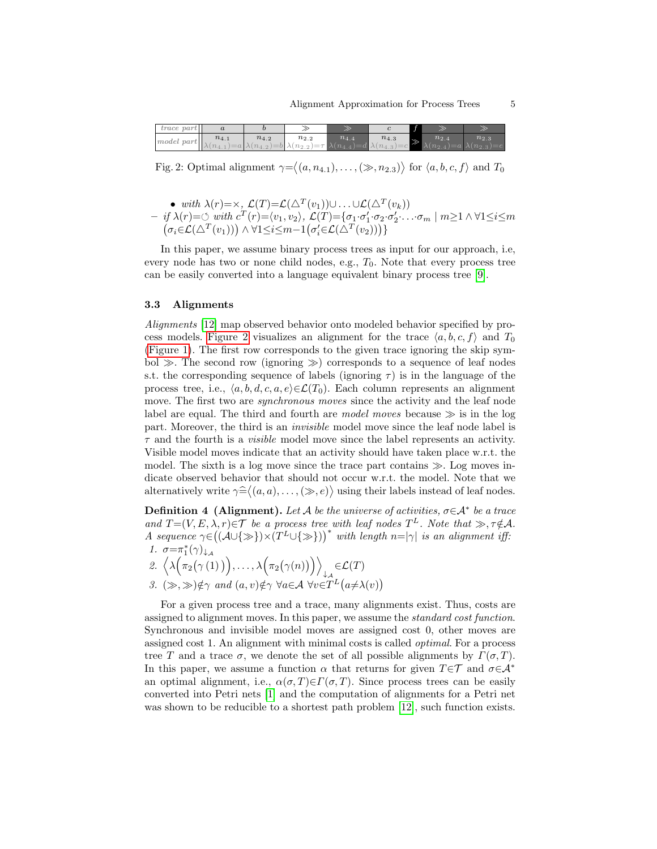<span id="page-4-0"></span>

| trace part $\mathbb{E}$ |           |           |           |                                                                                                                                |           |                                                     |           |
|-------------------------|-----------|-----------|-----------|--------------------------------------------------------------------------------------------------------------------------------|-----------|-----------------------------------------------------|-----------|
| $ model\ part $         | $n_{4.1}$ | $n_{4.2}$ | $n_{2.2}$ | $n_{\rm 4.4}$<br>$\lambda(n_{4.1}) = a \lambda(n_{4.2}) = b \lambda(n_{2.2}) = \tau \lambda(n_{4.4}) = d \lambda(n_{4.3}) = c$ | $n_{4.3}$ | $n_{2.4}$<br>$\lambda(n_{2.4})=a \lambda(n_{2.3})=$ | $n_{2,3}$ |

Fig. 2: Optimal alignment  $\gamma = \langle (a, n_{4.1}), \ldots, (\gg, n_{2.3}) \rangle$  for  $\langle a, b, c, f \rangle$  and  $T_0$ 

• with 
$$
\lambda(r) = \times
$$
,  $\mathcal{L}(T) = \mathcal{L}(\Delta^T(v_1)) \cup ... \cup \mathcal{L}(\Delta^T(v_k))$ 

 $\begin{array}{l} \hspace{0.15cm} \textit{--}\hspace{0.15cm} \textit{if} \hspace{0.15cm} \lambda(r) = \circlearrowleft \textit{with} \hspace{0.15cm} \textit{c}^T(r) = \langle v_1, v_2 \rangle, \hspace{0.15cm} \mathcal{L}(T) = \{ \sigma_1 \cdot \sigma_1' \cdot \sigma_2 \cdot \sigma_2' \; \textit{or} \; \ \textit{or} \; \ \textit{or} \; \textit{c} \in \mathcal{L}(\triangle^T(v_1)) \} \wedge \forall 1 \leq i \leq m-1 \big( \sigma_i' \in$  $\cdots$  $\sigma_m \mid m \geq 1 \wedge \forall 1 \leq i \leq m$  $\sigma_i \in \mathcal{L}(\triangle^T(v_1))$ )  $\wedge \forall 1 \leq i \leq m-1$  $(\sigma'_i \in \mathcal{L}(\triangle^T(v_2)))$ }

In this paper, we assume binary process trees as input for our approach, i.e, every node has two or none child nodes, e.g.,  $T_0$ . Note that every process tree can be easily converted into a language equivalent binary process tree [\[9\]](#page-11-5).

#### 3.3 Alignments

Alignments [\[12\]](#page-11-7) map observed behavior onto modeled behavior specified by pro-cess models. [Figure 2](#page-4-0) visualizes an alignment for the trace  $\langle a, b, c, f \rangle$  and  $T_0$ [\(Figure 1\)](#page-3-0). The first row corresponds to the given trace ignoring the skip symbol  $\gg$ . The second row (ignoring  $\gg$ ) corresponds to a sequence of leaf nodes s.t. the corresponding sequence of labels (ignoring  $\tau$ ) is in the language of the process tree, i.e.,  $\langle a, b, d, c, a, e \rangle \in \mathcal{L}(T_0)$ . Each column represents an alignment move. The first two are *synchronous moves* since the activity and the leaf node label are equal. The third and fourth are model moves because  $\gg$  is in the log part. Moreover, the third is an invisible model move since the leaf node label is  $\tau$  and the fourth is a *visible* model move since the label represents an activity. Visible model moves indicate that an activity should have taken place w.r.t. the model. The sixth is a log move since the trace part contains  $\gg$ . Log moves indicate observed behavior that should not occur w.r.t. the model. Note that we alternatively write  $\gamma \widehat{=} \langle (a, a), \ldots, (\gg, e) \rangle$  using their labels instead of leaf nodes.

**Definition 4 (Alignment).** Let A be the universe of activities,  $\sigma \in A^*$  be a trace and  $T=(V, E, \lambda, r) \in \mathcal{T}$  be a process tree with leaf nodes  $T^L$ . Note that  $\gg, \tau \notin \mathcal{A}$ . A sequence  $\gamma \in ((\mathcal{A} \cup \{\gg\}) \times (T^L \cup \{\gg\}))^*$  with length n=| $\gamma$ | is an alignment iff: 1.  $\sigma = \pi_1^*(\gamma)_{\downarrow A}$ 

2.  $\langle \lambda(\pi_2(\gamma(1))), \ldots, \lambda(\pi_2(\gamma(n))) \rangle$  $\downarrow_{\mathcal{A}} \in \mathcal{L}(T)$ 

3. 
$$
(\gg, \gg)\notin \gamma
$$
 and  $(a, v)\notin \gamma \forall a \in \mathcal{A} \forall v \in T^L(a \neq \lambda(v))$ 

For a given process tree and a trace, many alignments exist. Thus, costs are assigned to alignment moves. In this paper, we assume the standard cost function. Synchronous and invisible model moves are assigned cost 0, other moves are assigned cost 1. An alignment with minimal costs is called optimal. For a process tree T and a trace  $\sigma$ , we denote the set of all possible alignments by  $\Gamma(\sigma, T)$ . In this paper, we assume a function  $\alpha$  that returns for given  $T \in \mathcal{T}$  and  $\sigma \in \mathcal{A}^*$ an optimal alignment, i.e.,  $\alpha(\sigma, T) \in \Gamma(\sigma, T)$ . Since process trees can be easily converted into Petri nets [\[1\]](#page-11-0) and the computation of alignments for a Petri net was shown to be reducible to a shortest path problem [\[12\]](#page-11-7), such function exists.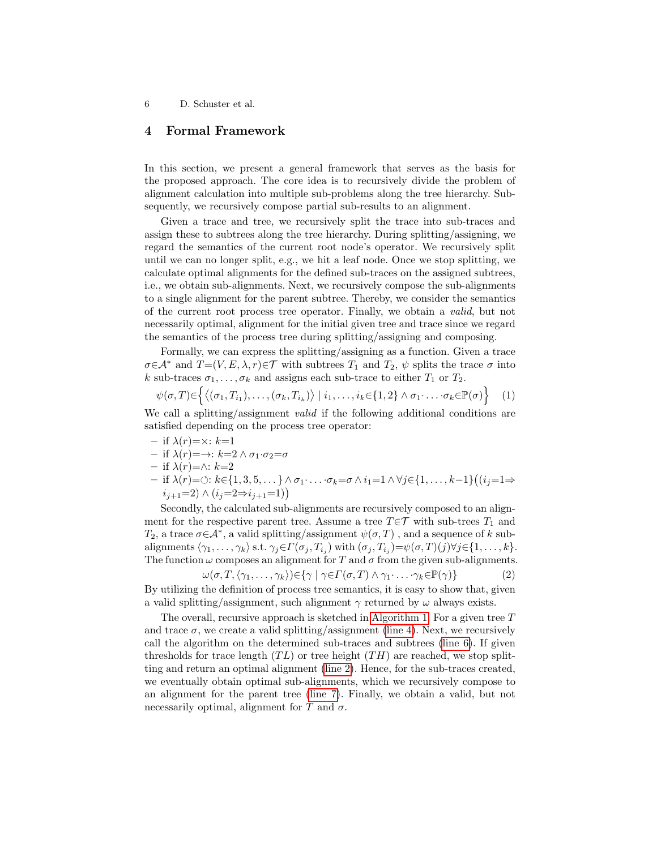### <span id="page-5-0"></span>4 Formal Framework

In this section, we present a general framework that serves as the basis for the proposed approach. The core idea is to recursively divide the problem of alignment calculation into multiple sub-problems along the tree hierarchy. Subsequently, we recursively compose partial sub-results to an alignment.

Given a trace and tree, we recursively split the trace into sub-traces and assign these to subtrees along the tree hierarchy. During splitting/assigning, we regard the semantics of the current root node's operator. We recursively split until we can no longer split, e.g., we hit a leaf node. Once we stop splitting, we calculate optimal alignments for the defined sub-traces on the assigned subtrees, i.e., we obtain sub-alignments. Next, we recursively compose the sub-alignments to a single alignment for the parent subtree. Thereby, we consider the semantics of the current root process tree operator. Finally, we obtain a valid, but not necessarily optimal, alignment for the initial given tree and trace since we regard the semantics of the process tree during splitting/assigning and composing.

Formally, we can express the splitting/assigning as a function. Given a trace  $\sigma \in \mathcal{A}^*$  and  $T=(V, E, \lambda, r) \in \mathcal{T}$  with subtrees  $T_1$  and  $T_2$ ,  $\psi$  splits the trace  $\sigma$  into k sub-traces  $\sigma_1, \ldots, \sigma_k$  and assigns each sub-trace to either  $T_1$  or  $T_2$ .

<span id="page-5-1"></span>
$$
\psi(\sigma, T) \in \left\{ \langle (\sigma_1, T_{i_1}), \ldots, (\sigma_k, T_{i_k}) \rangle \mid i_1, \ldots, i_k \in \{1, 2\} \land \sigma_1 \cdot \ldots \cdot \sigma_k \in \mathbb{P}(\sigma) \right\} \quad (1)
$$

We call a splitting/assignment *valid* if the following additional conditions are satisfied depending on the process tree operator:

- $-$  if  $\lambda(r)=x$ :  $k=1$
- if  $\lambda(r) = \rightarrow : k = 2 \land \sigma_1 \cdot \sigma_2 = \sigma$
- if λ(r)=∧: k=2
- $-$  if  $\lambda(r) = \circledcirc$ :  $k \in \{1, 3, 5, \dots\}$  ∧  $\sigma_1$ · . . . ·  $\sigma_k = \sigma \wedge i_1 = 1 \wedge \forall j \in \{1, \dots, k-1\}$  (( $i_j = 1 \Rightarrow$  $(i_{j+1}=2) \wedge (i_j=2 \Rightarrow i_{j+1}=1)$

Secondly, the calculated sub-alignments are recursively composed to an alignment for the respective parent tree. Assume a tree  $T \in \mathcal{T}$  with sub-trees  $T_1$  and  $T_2$ , a trace  $\sigma \in A^*$ , a valid splitting/assignment  $\psi(\sigma, T)$  , and a sequence of k subalignments  $\langle \gamma_1, \ldots, \gamma_k \rangle$  s.t.  $\gamma_j \in \Gamma(\sigma_j, T_{i_j})$  with  $(\sigma_j, T_{i_j}) = \psi(\sigma, T)(j) \forall j \in \{1, \ldots, k\}.$ The function  $\omega$  composes an alignment for T and  $\sigma$  from the given sub-alignments.

$$
\omega(\sigma, T, \langle \gamma_1, \ldots, \gamma_k \rangle) \in \{ \gamma \mid \gamma \in \Gamma(\sigma, T) \land \gamma_1 \cdot \ldots \cdot \gamma_k \in \mathbb{P}(\gamma) \}
$$
 (2)

By utilizing the definition of process tree semantics, it is easy to show that, given a valid splitting/assignment, such alignment  $\gamma$  returned by  $\omega$  always exists.

The overall, recursive approach is sketched in [Algorithm 1.](#page-6-1) For a given tree  $T$ and trace  $\sigma$ , we create a valid splitting/assignment [\(line 4\)](#page-6-2). Next, we recursively call the algorithm on the determined sub-traces and subtrees [\(line 6\)](#page-6-3). If given thresholds for trace length  $(T<sub>L</sub>)$  or tree height  $(T<sub>H</sub>)$  are reached, we stop splitting and return an optimal alignment [\(line 2\)](#page-6-4). Hence, for the sub-traces created, we eventually obtain optimal sub-alignments, which we recursively compose to an alignment for the parent tree [\(line 7\)](#page-6-5). Finally, we obtain a valid, but not necessarily optimal, alignment for T and  $\sigma$ .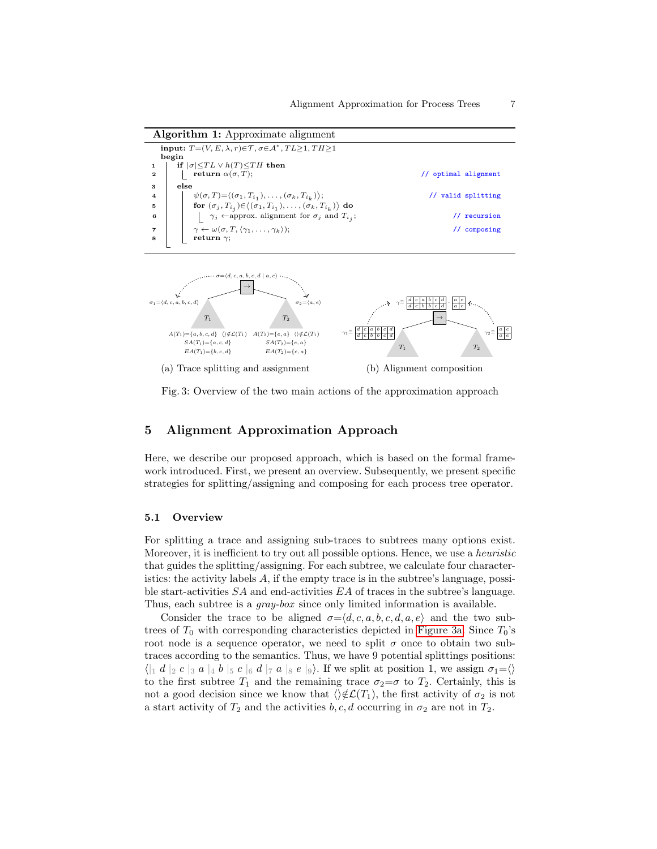Algorithm 1: Approximate alignment

<span id="page-6-4"></span><span id="page-6-2"></span><span id="page-6-1"></span>

|              | input: $T=(V, E, \lambda, r) \in \mathcal{T}, \sigma \in \mathcal{A}^*, TL>1, TH>1$               |                    |
|--------------|---------------------------------------------------------------------------------------------------|--------------------|
|              | begin                                                                                             |                    |
|              | if $ \sigma  \leq TL \vee h(T) \leq TH$ then                                                      |                    |
| $\mathbf{z}$ | return $\alpha(\sigma, T)$ ;                                                                      | optimal alignment  |
| 3            | else                                                                                              |                    |
| 4            | $\psi(\sigma, T) = \langle (\sigma_1, T_{i_1}), \ldots, (\sigma_k, T_{i_k}) \rangle;$             | // valid splitting |
| 5            | for $(\sigma_j, T_{i_j}) \in \langle (\sigma_1, T_{i_1}), \ldots, (\sigma_k, T_{i_k}) \rangle$ do |                    |
| в            | $\gamma_i \leftarrow$ approx. alignment for $\sigma_i$ and $T_{i,j}$ ;                            | // recursion       |
| 7            | $\gamma \leftarrow \omega(\sigma, T, \langle \gamma_1, \ldots, \gamma_k \rangle);$                | composing          |
| 8            | return $\gamma$ :                                                                                 |                    |
|              |                                                                                                   |                    |

<span id="page-6-6"></span><span id="page-6-5"></span><span id="page-6-3"></span>

Fig. 3: Overview of the two main actions of the approximation approach

# <span id="page-6-0"></span>5 Alignment Approximation Approach

Here, we describe our proposed approach, which is based on the formal framework introduced. First, we present an overview. Subsequently, we present specific strategies for splitting/assigning and composing for each process tree operator.

#### 5.1 Overview

For splitting a trace and assigning sub-traces to subtrees many options exist. Moreover, it is inefficient to try out all possible options. Hence, we use a heuristic that guides the splitting/assigning. For each subtree, we calculate four characteristics: the activity labels A, if the empty trace is in the subtree's language, possible start-activities  $SA$  and end-activities  $EA$  of traces in the subtree's language. Thus, each subtree is a *gray-box* since only limited information is available.

Consider the trace to be aligned  $\sigma = \langle d, c, a, b, c, d, a, e \rangle$  and the two subtrees of  $T_0$  with corresponding characteristics depicted in [Figure 3a.](#page-6-6) Since  $T_0$ 's root node is a sequence operator, we need to split  $\sigma$  once to obtain two subtraces according to the semantics. Thus, we have 9 potential splittings positions:  $\langle |_1 d |_2 c |_3 a |_4 b |_5 c |_6 d |_7 a |_8 e |_9 \rangle$ . If we split at position 1, we assign  $\sigma_1 = \langle \rangle$ to the first subtree  $T_1$  and the remaining trace  $\sigma_2 = \sigma$  to  $T_2$ . Certainly, this is not a good decision since we know that  $\langle \rangle \notin \mathcal{L}(T_1)$ , the first activity of  $\sigma_2$  is not a start activity of  $T_2$  and the activities  $b, c, d$  occurring in  $\sigma_2$  are not in  $T_2$ .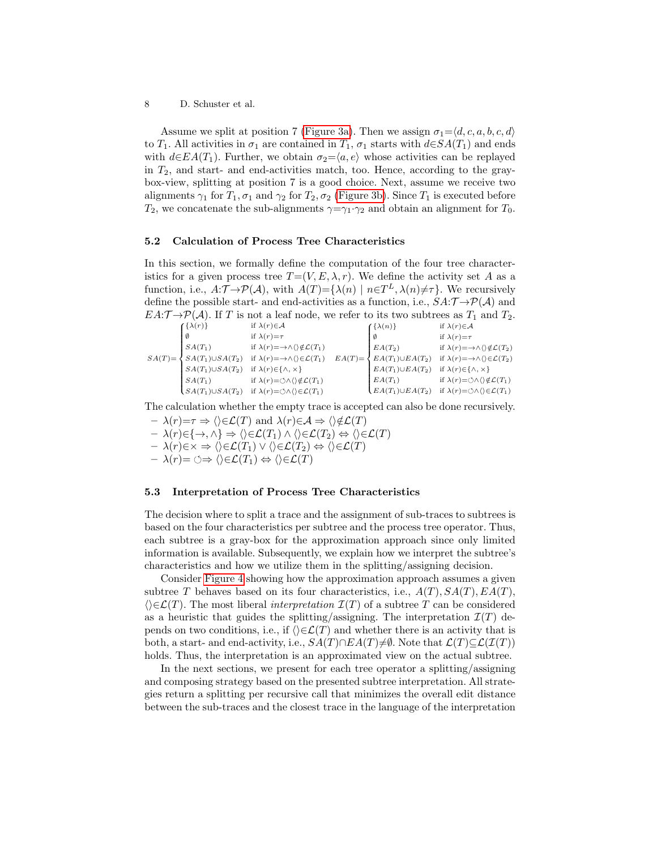Assume we split at position 7 [\(Figure 3a\)](#page-6-6). Then we assign  $\sigma_1 = \langle d, c, a, b, c, d \rangle$ to  $T_1$ . All activities in  $\sigma_1$  are contained in  $T_1$ ,  $\sigma_1$  starts with  $d\in SA(T_1)$  and ends with  $d\in EA(T_1)$ . Further, we obtain  $\sigma_2=\langle a, e \rangle$  whose activities can be replayed in  $T_2$ , and start- and end-activities match, too. Hence, according to the graybox-view, splitting at position 7 is a good choice. Next, assume we receive two alignments  $\gamma_1$  for  $T_1, \sigma_1$  and  $\gamma_2$  for  $T_2, \sigma_2$  [\(Figure 3b\)](#page-6-6). Since  $T_1$  is executed before  $T_2$ , we concatenate the sub-alignments  $\gamma = \gamma_1 \cdot \gamma_2$  and obtain an alignment for  $T_0$ .

#### 5.2 Calculation of Process Tree Characteristics

In this section, we formally define the computation of the four tree characteristics for a given process tree  $T=(V, E, \lambda, r)$ . We define the activity set A as a function, i.e.,  $A:\mathcal{T}\rightarrow\mathcal{P}(\mathcal{A})$ , with  $A(T)=\{\lambda(n) \mid n\in T^L, \lambda(n)\neq\tau\}$ . We recursively define the possible start- and end-activities as a function, i.e.,  $SA:\mathcal{T}\rightarrow\mathcal{P}(\mathcal{A})$  and  $EA:\mathcal{T}\rightarrow\mathcal{P}(\mathcal{A})$ . If T is not a leaf node, we refer to its two subtrees as  $T_1$  and  $T_2$ .

| $\{\lambda(r)\}\$ | if $\lambda(r) \in \mathcal{A}$                                                                                                                                                                                                                                | $\{\lambda(n)\}\$                                                                 | if $\lambda(r) \in \mathcal{A}$                                                                                               |
|-------------------|----------------------------------------------------------------------------------------------------------------------------------------------------------------------------------------------------------------------------------------------------------------|-----------------------------------------------------------------------------------|-------------------------------------------------------------------------------------------------------------------------------|
|                   | if $\lambda(r) = \tau$                                                                                                                                                                                                                                         |                                                                                   | if $\lambda(r) = \tau$                                                                                                        |
| $SA(T_1)$         | if $\lambda(r) = \rightarrow \wedge \langle \rangle \notin \mathcal{L}(T_1)$                                                                                                                                                                                   | $EA(T_2)$                                                                         | if $\lambda(r) = \rightarrow \wedge \langle \rangle \notin \mathcal{L}(T_2)$                                                  |
|                   | $\begin{aligned} SA(T) {=} & \begin{cases} SA(T_1) {\cup} SA(T_2) & \text{if } \lambda(r) {=} {\rightarrow} \wedge \langle \rangle {\in} \mathcal{L}(T_1) \\ SA(T_1) {\cup} SA(T_2) & \text{if } \lambda(r) {\in} \{\wedge,\times\} \end{cases} \end{aligned}$ |                                                                                   | $EA(T) = \Big\{ EA(T_1) \cup EA(T_2) \text{ if } \lambda(r) = \rightarrow \wedge \langle \rangle \in \mathcal{L}(T_2) \Big\}$ |
|                   |                                                                                                                                                                                                                                                                | $\boxed{EA(T_1) \cup EA(T_2)} \quad \text{if} \ \lambda(r){\in}\{\wedge,\times\}$ |                                                                                                                               |
| $SA(T_1)$         | if $\lambda(r){=}\odot\wedge\langle\rangle\notin\mathcal{L}(T_1)$                                                                                                                                                                                              | $E A(T_1)$                                                                        | if $\lambda(r){=}\textcircled{\scriptsize\wedge}\langle\rangle\!\notin\! \mathcal{L}(T_1)$                                    |
|                   | $\mathcal{S}_{A(T_1)\cup SA(T_2)}$ if $\lambda(r) = \bigcirc \wedge \langle \rangle \in \mathcal{L}(T_1)$                                                                                                                                                      |                                                                                   | $E A(T_1) \cup E A(T_2)$ if $\lambda(r) = \bigcirc \wedge \langle \rangle \in \mathcal{L}(T_1)$                               |
|                   |                                                                                                                                                                                                                                                                |                                                                                   |                                                                                                                               |

The calculation whether the empty trace is accepted can also be done recursively.

 $-\lambda(r)=\tau \Rightarrow \langle \rangle \in \mathcal{L}(T)$  and  $\lambda(r) \in \mathcal{A} \Rightarrow \langle \rangle \notin \mathcal{L}(T)$  $- \lambda(r) \in \{ \rightarrow, \land \} \Rightarrow \langle \rangle \in \mathcal{L}(T_1) \land \langle \rangle \in \mathcal{L}(T_2) \Leftrightarrow \langle \rangle \in \mathcal{L}(T)$  $- \lambda(r) \in \times \Rightarrow \langle \rangle \in \mathcal{L}(T_1) \vee \langle \rangle \in \mathcal{L}(T_2) \Leftrightarrow \langle \rangle \in \mathcal{L}(T)$ 

 $- \lambda(r) = \circlearrowleft \Rightarrow \langle \rangle \in \mathcal{L}(T_1) \Leftrightarrow \langle \rangle \in \mathcal{L}(T)$ 

### 5.3 Interpretation of Process Tree Characteristics

The decision where to split a trace and the assignment of sub-traces to subtrees is based on the four characteristics per subtree and the process tree operator. Thus, each subtree is a gray-box for the approximation approach since only limited information is available. Subsequently, we explain how we interpret the subtree's characteristics and how we utilize them in the splitting/assigning decision.

Consider [Figure 4](#page-8-0) showing how the approximation approach assumes a given subtree T behaves based on its four characteristics, i.e.,  $A(T)$ ,  $SA(T)$ ,  $EA(T)$ ,  $\langle \rangle \in \mathcal{L}(T)$ . The most liberal *interpretation*  $\mathcal{I}(T)$  of a subtree T can be considered as a heuristic that guides the splitting/assigning. The interpretation  $\mathcal{I}(T)$  depends on two conditions, i.e., if  $\langle \rangle \in \mathcal{L}(T)$  and whether there is an activity that is both, a start- and end-activity, i.e.,  $SA(T) \cap EA(T) \neq \emptyset$ . Note that  $\mathcal{L}(T) \subseteq \mathcal{L}(\mathcal{I}(T))$ holds. Thus, the interpretation is an approximated view on the actual subtree.

In the next sections, we present for each tree operator a splitting/assigning and composing strategy based on the presented subtree interpretation. All strategies return a splitting per recursive call that minimizes the overall edit distance between the sub-traces and the closest trace in the language of the interpretation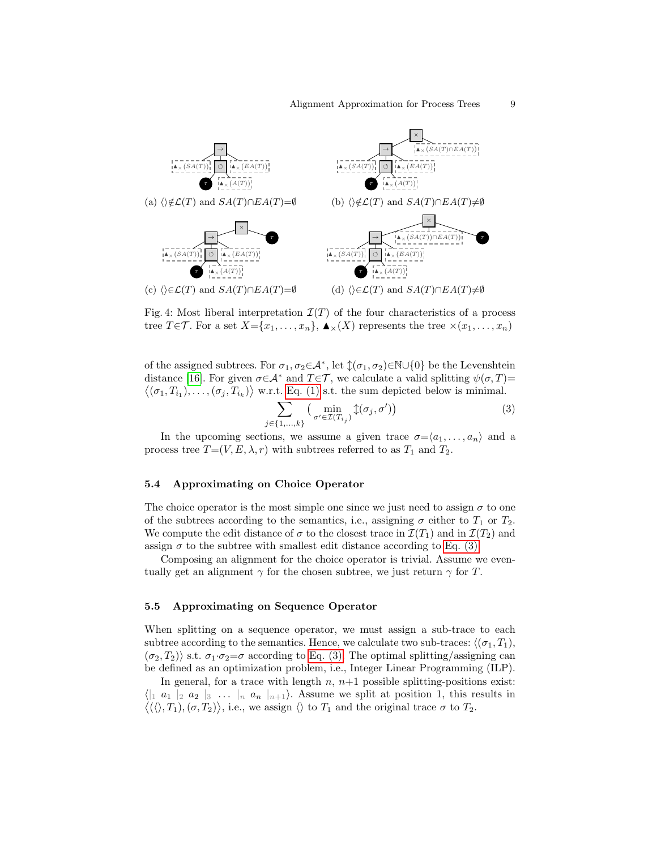<span id="page-8-0"></span>

Fig. 4: Most liberal interpretation  $\mathcal{I}(T)$  of the four characteristics of a process tree  $T \in \mathcal{T}$ . For a set  $X = \{x_1, \ldots, x_n\}$ ,  $\blacktriangle_{\times}(X)$  represents the tree  $\times(x_1, \ldots, x_n)$ 

of the assigned subtrees. For  $\sigma_1, \sigma_2 \in A^*$ , let  $\mathcal{L}(\sigma_1, \sigma_2) \in \mathbb{N} \cup \{0\}$  be the Levenshtein distance [\[16\]](#page-11-14). For given  $\sigma \in \mathcal{A}^*$  and  $T \in \mathcal{T}$ , we calculate a valid splitting  $\psi(\sigma, T)$ =  $\langle (\sigma_1, T_{i_1}), \ldots, (\sigma_j, T_{i_k}) \rangle$  w.r.t. [Eq. \(1\)](#page-5-1) s.t. the sum depicted below is minimal.

<span id="page-8-1"></span>
$$
\sum_{j \in \{1, \ldots, k\}} \left( \min_{\sigma' \in \mathcal{I}(T_{i_j})} \mathcal{L}(\sigma_j, \sigma') \right) \tag{3}
$$

In the upcoming sections, we assume a given trace  $\sigma = \langle a_1, \ldots, a_n \rangle$  and a process tree  $T=(V, E, \lambda, r)$  with subtrees referred to as  $T_1$  and  $T_2$ .

### 5.4 Approximating on Choice Operator

The choice operator is the most simple one since we just need to assign  $\sigma$  to one of the subtrees according to the semantics, i.e., assigning  $\sigma$  either to  $T_1$  or  $T_2$ . We compute the edit distance of  $\sigma$  to the closest trace in  $\mathcal{I}(T_1)$  and in  $\mathcal{I}(T_2)$  and assign  $\sigma$  to the subtree with smallest edit distance according to [Eq. \(3\).](#page-8-1)

Composing an alignment for the choice operator is trivial. Assume we eventually get an alignment  $\gamma$  for the chosen subtree, we just return  $\gamma$  for T.

### 5.5 Approximating on Sequence Operator

When splitting on a sequence operator, we must assign a sub-trace to each subtree according to the semantics. Hence, we calculate two sub-traces:  $\langle (\sigma_1, T_1),$  $(\sigma_2, T_2)$  s.t.  $\sigma_1 \cdot \sigma_2 = \sigma$  according to [Eq. \(3\).](#page-8-1) The optimal splitting/assigning can be defined as an optimization problem, i.e., Integer Linear Programming (ILP).

In general, for a trace with length  $n, n+1$  possible splitting-positions exist:  $\langle \vert_1 a_1 \vert_2 a_2 \vert_3 \ldots \vert_n a_n \vert_{n+1}$ . Assume we split at position 1, this results in  $\langle (\langle \rangle, T_1),(\sigma, T_2) \rangle$ , i.e., we assign  $\langle \rangle$  to  $T_1$  and the original trace  $\sigma$  to  $T_2$ .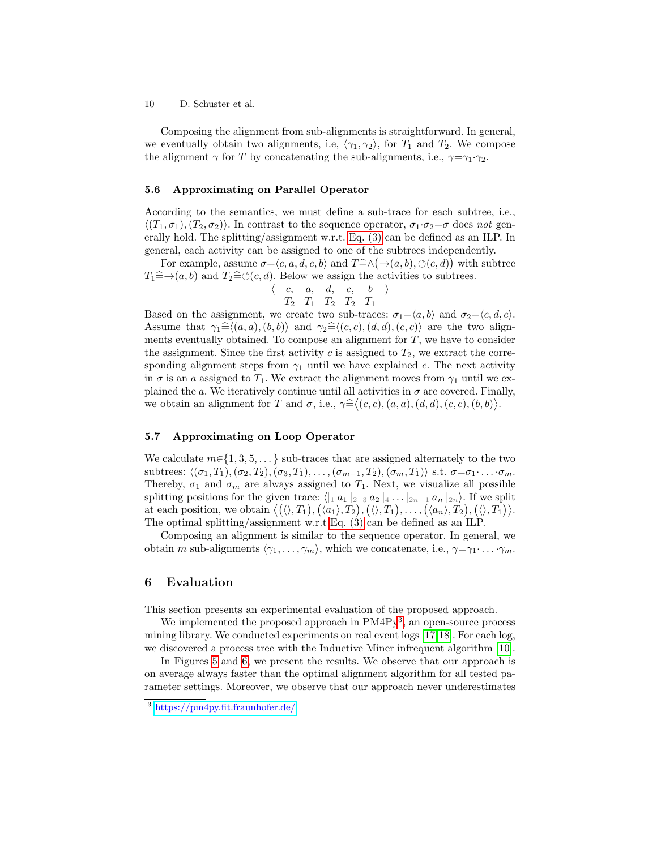Composing the alignment from sub-alignments is straightforward. In general, we eventually obtain two alignments, i.e,  $\langle \gamma_1, \gamma_2 \rangle$ , for  $T_1$  and  $T_2$ . We compose the alignment  $\gamma$  for T by concatenating the sub-alignments, i.e.,  $\gamma = \gamma_1 \cdot \gamma_2$ .

### 5.6 Approximating on Parallel Operator

According to the semantics, we must define a sub-trace for each subtree, i.e.,  $\langle (T_1, \sigma_1), (T_2, \sigma_2) \rangle$ . In contrast to the sequence operator,  $\sigma_1 \cdot \sigma_2 = \sigma$  does not generally hold. The splitting/assignment w.r.t. [Eq. \(3\)](#page-8-1) can be defined as an ILP. In general, each activity can be assigned to one of the subtrees independently.

For example, assume  $\sigma = \langle c, a, d, c, b \rangle$  and  $T \hat{=} \land (\rightarrow (a, b), \circlearrowleft(c, d))$  with subtree  $T_1 \widehat{=} \rightarrow (a, b)$  and  $T_2 \widehat{=} \circlearrowleft(c, d)$ . Below we assign the activities to subtrees.<br>(*c, a, d, c, b*)

$$
\begin{array}{cccccc}\nc, & a, & a, & c, & b \\
T_2 & T_1 & T_2 & T_2 & T_1\n\end{array}
$$

Based on the assignment, we create two sub-traces:  $\sigma_1 = \langle a, b \rangle$  and  $\sigma_2 = \langle c, d, c \rangle$ . Assume that  $\gamma_1 \widehat{=} \langle (a, a), (b, b) \rangle$  and  $\gamma_2 \widehat{=} \langle (c, c), (d, d), (c, c) \rangle$  are the two alignments eventually obtained. To compose an alignment for  $T$ , we have to consider the assignment. Since the first activity c is assigned to  $T_2$ , we extract the corresponding alignment steps from  $\gamma_1$  until we have explained c. The next activity in  $\sigma$  is an a assigned to  $T_1$ . We extract the alignment moves from  $\gamma_1$  until we explained the a. We iteratively continue until all activities in  $\sigma$  are covered. Finally, we obtain an alignment for T and  $\sigma$ , i.e.,  $\gamma \widehat{=} \langle (c, c), (a, a), (d, d), (c, c), (b, b) \rangle$ .

### 5.7 Approximating on Loop Operator

We calculate  $m \in \{1, 3, 5, \dots\}$  sub-traces that are assigned alternately to the two subtrees:  $\langle (\sigma_1, T_1), (\sigma_2, T_2), (\sigma_3, T_1), \ldots, (\sigma_{m-1}, T_2), (\sigma_m, T_1) \rangle$  s.t.  $\sigma = \sigma_1 \cdot \ldots \cdot \sigma_m$ . Thereby,  $\sigma_1$  and  $\sigma_m$  are always assigned to  $T_1$ . Next, we visualize all possible splitting positions for the given trace:  $\langle |_1 a_1 |_2 |_3 a_2 |_4 ... |_{2n-1} a_n |_{2n} \rangle$ . If we split at each position, we obtain  $\langle (\langle \rangle, T_1), (\langle a_1 \rangle, T_2), (\langle \rangle, T_1), \dots, (\langle a_n \rangle, T_2), (\langle \rangle, T_1) \rangle$ . The optimal splitting/assignment w.r.t [Eq. \(3\)](#page-8-1) can be defined as an ILP.

Composing an alignment is similar to the sequence operator. In general, we obtain m sub-alignments  $\langle \gamma_1, \ldots, \gamma_m \rangle$ , which we concatenate, i.e.,  $\gamma = \gamma_1 \cdot \ldots \cdot \gamma_m$ .

# <span id="page-9-0"></span>6 Evaluation

This section presents an experimental evaluation of the proposed approach.

We implemented the proposed approach in PM4Py<sup>[3](#page-9-1)</sup>, an open-source process mining library. We conducted experiments on real event logs [\[17,](#page-11-15)[18\]](#page-11-16). For each log, we discovered a process tree with the Inductive Miner infrequent algorithm [\[10\]](#page-11-17).

In Figures [5](#page-10-1) and [6,](#page-10-2) we present the results. We observe that our approach is on average always faster than the optimal alignment algorithm for all tested parameter settings. Moreover, we observe that our approach never underestimates

<span id="page-9-1"></span><sup>3</sup> <https://pm4py.fit.fraunhofer.de/>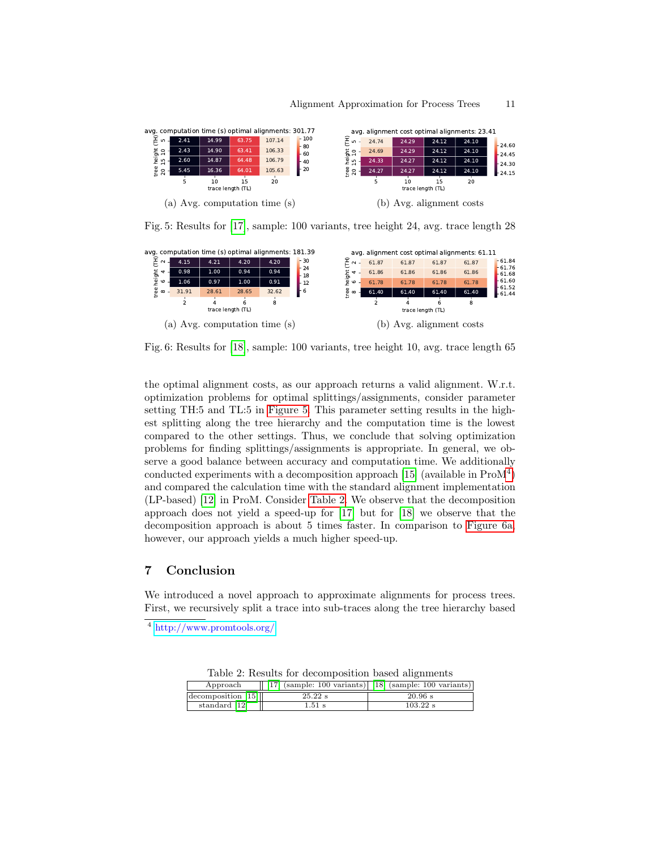<span id="page-10-1"></span>

Fig. 5: Results for [\[17\]](#page-11-15), sample: 100 variants, tree height 24, avg. trace length 28

<span id="page-10-2"></span>

Fig. 6: Results for [\[18\]](#page-11-16), sample: 100 variants, tree height 10, avg. trace length 65

the optimal alignment costs, as our approach returns a valid alignment. W.r.t. optimization problems for optimal splittings/assignments, consider parameter setting TH:5 and TL:5 in [Figure 5.](#page-10-1) This parameter setting results in the highest splitting along the tree hierarchy and the computation time is the lowest compared to the other settings. Thus, we conclude that solving optimization problems for finding splittings/assignments is appropriate. In general, we observe a good balance between accuracy and computation time. We additionally conducted experiments with a decomposition approach  $[15]$  (available in  $P_{\text{TOM}}^4$  $P_{\text{TOM}}^4$ ) and compared the calculation time with the standard alignment implementation (LP-based) [\[12\]](#page-11-7) in ProM. Consider [Table 2.](#page-10-4) We observe that the decomposition approach does not yield a speed-up for [\[17\]](#page-11-15) but for [\[18\]](#page-11-16) we observe that the decomposition approach is about 5 times faster. In comparison to [Figure 6a,](#page-10-2) however, our approach yields a much higher speed-up.

# <span id="page-10-0"></span>7 Conclusion

We introduced a novel approach to approximate alignments for process trees. First, we recursively split a trace into sub-traces along the tree hierarchy based

<span id="page-10-4"></span><span id="page-10-3"></span><sup>4</sup> <http://www.promtools.org/>

| Approach             | $\left  \right $ [17] (sample: 100 variants)] [18] (sample: 100 variants) |            |
|----------------------|---------------------------------------------------------------------------|------------|
| $decomposition$ [15] | $25.22$ s                                                                 | $20.96$ s  |
| standard [12]        | $1.51$ s                                                                  | $103.22$ s |

Table 2: Results for decomposition based alignments